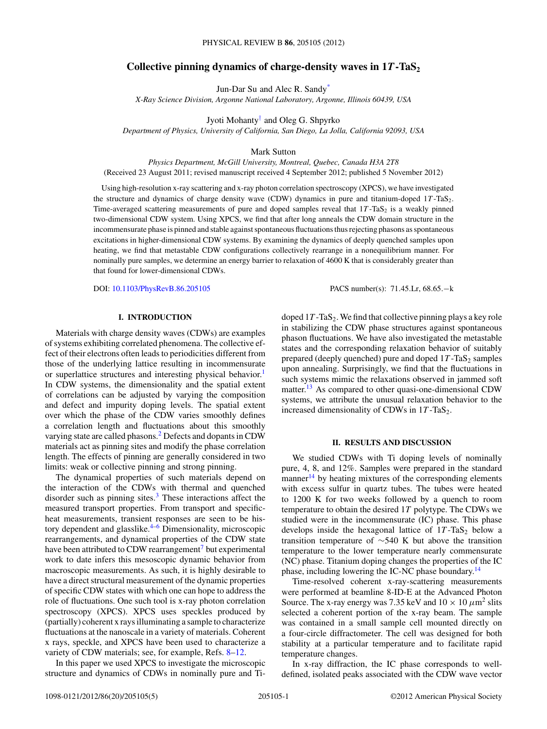# Collective pinning dynamics of charge-density waves in 1*T* -TaS<sub>2</sub>

Jun-Dar Su and Alec R. Sandy[\\*](#page-4-0)

*X-Ray Science Division, Argonne National Laboratory, Argonne, Illinois 60439, USA*

Jyoti Mohanty[†](#page-4-0) and Oleg G. Shpyrko

*Department of Physics, University of California, San Diego, La Jolla, California 92093, USA*

Mark Sutton

*Physics Department, McGill University, Montreal, Quebec, Canada H3A 2T8*

(Received 23 August 2011; revised manuscript received 4 September 2012; published 5 November 2012)

Using high-resolution x-ray scattering and x-ray photon correlation spectroscopy (XPCS), we have investigated the structure and dynamics of charge density wave (CDW) dynamics in pure and titanium-doped 1*T*-TaS<sub>2</sub>. Time-averaged scattering measurements of pure and doped samples reveal that 1T-TaS<sub>2</sub> is a weakly pinned two-dimensional CDW system. Using XPCS, we find that after long anneals the CDW domain structure in the incommensurate phase is pinned and stable against spontaneous fluctuations thus rejecting phasons as spontaneous excitations in higher-dimensional CDW systems. By examining the dynamics of deeply quenched samples upon heating, we find that metastable CDW configurations collectively rearrange in a nonequilibrium manner. For nominally pure samples, we determine an energy barrier to relaxation of 4600 K that is considerably greater than that found for lower-dimensional CDWs.

DOI: [10.1103/PhysRevB.86.205105](http://dx.doi.org/10.1103/PhysRevB.86.205105) PACS number(s): 71*.*45*.*Lr, 68*.*65*.*−k

## **I. INTRODUCTION**

Materials with charge density waves (CDWs) are examples of systems exhibiting correlated phenomena. The collective effect of their electrons often leads to periodicities different from those of the underlying lattice resulting in incommensurate or superlattice structures and interesting physical behavior.<sup>1</sup> In CDW systems, the dimensionality and the spatial extent of correlations can be adjusted by varying the composition and defect and impurity doping levels. The spatial extent over which the phase of the CDW varies smoothly defines a correlation length and fluctuations about this smoothly varying state are called phasons[.2](#page-4-0) Defects and dopants in CDW materials act as pinning sites and modify the phase correlation length. The effects of pinning are generally considered in two limits: weak or collective pinning and strong pinning.

The dynamical properties of such materials depend on the interaction of the CDWs with thermal and quenched disorder such as pinning sites.<sup>[3](#page-4-0)</sup> These interactions affect the measured transport properties. From transport and specificheat measurements, transient responses are seen to be history dependent and glasslike.<sup>4-6</sup> Dimensionality, microscopic rearrangements, and dynamical properties of the CDW state have been attributed to CDW rearrangement<sup>[7](#page-4-0)</sup> but experimental work to date infers this mesoscopic dynamic behavior from macroscopic measurements. As such, it is highly desirable to have a direct structural measurement of the dynamic properties of specific CDW states with which one can hope to address the role of fluctuations. One such tool is x-ray photon correlation spectroscopy (XPCS). XPCS uses speckles produced by (partially) coherent x rays illuminating a sample to characterize fluctuations at the nanoscale in a variety of materials. Coherent x rays, speckle, and XPCS have been used to characterize a variety of CDW materials; see, for example, Refs. [8–12.](#page-4-0)

In this paper we used XPCS to investigate the microscopic structure and dynamics of CDWs in nominally pure and Tidoped  $1T$ -TaS<sub>2</sub>. We find that collective pinning plays a key role in stabilizing the CDW phase structures against spontaneous phason fluctuations. We have also investigated the metastable states and the corresponding relaxation behavior of suitably prepared (deeply quenched) pure and doped  $1T$ -TaS<sub>2</sub> samples upon annealing. Surprisingly, we find that the fluctuations in such systems mimic the relaxations observed in jammed soft matter.<sup>[13](#page-4-0)</sup> As compared to other quasi-one-dimensional CDW systems, we attribute the unusual relaxation behavior to the increased dimensionality of CDWs in  $1T$ -TaS<sub>2</sub>.

# **II. RESULTS AND DISCUSSION**

We studied CDWs with Ti doping levels of nominally pure, 4, 8, and 12%. Samples were prepared in the standard manner<sup>[14](#page-4-0)</sup> by heating mixtures of the corresponding elements with excess sulfur in quartz tubes. The tubes were heated to 1200 K for two weeks followed by a quench to room temperature to obtain the desired 1*T* polytype. The CDWs we studied were in the incommensurate (IC) phase. This phase develops inside the hexagonal lattice of  $1T$ -TaS<sub>2</sub> below a transition temperature of ∼540 K but above the transition temperature to the lower temperature nearly commensurate (NC) phase. Titanium doping changes the properties of the IC phase, including lowering the IC-NC phase boundary.<sup>[14](#page-4-0)</sup>

Time-resolved coherent x-ray-scattering measurements were performed at beamline 8-ID-E at the Advanced Photon Source. The x-ray energy was 7.35 keV and  $10 \times 10 \ \mu m^2$  slits selected a coherent portion of the x-ray beam. The sample was contained in a small sample cell mounted directly on a four-circle diffractometer. The cell was designed for both stability at a particular temperature and to facilitate rapid temperature changes.

In x-ray diffraction, the IC phase corresponds to welldefined, isolated peaks associated with the CDW wave vector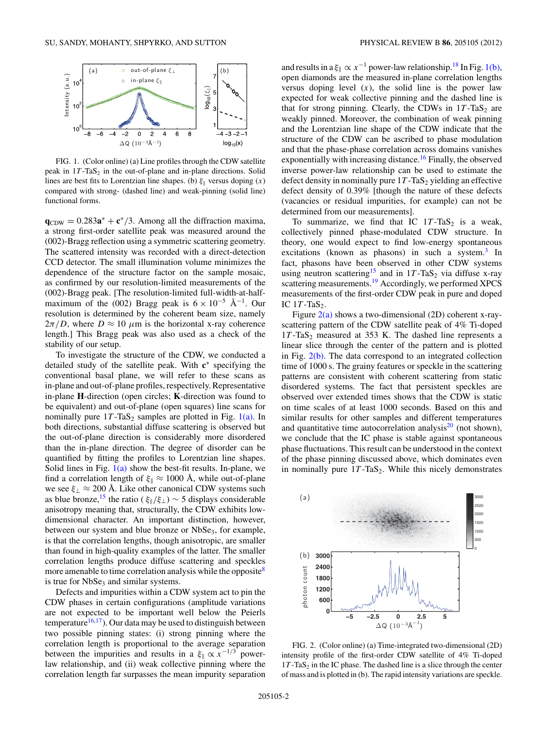

FIG. 1. (Color online) (a) Line profiles through the CDW satellite peak in  $17 - TaS_2$  in the out-of-plane and in-plane directions. Solid lines are best fits to Lorentzian line shapes. (b)  $\xi_{\parallel}$  versus doping (*x*) compared with strong- (dashed line) and weak-pinning (solid line) functional forms.

 $q_{CDW} = 0.283a^* + c^*/3$ . Among all the diffraction maxima, a strong first-order satellite peak was measured around the (002)-Bragg reflection using a symmetric scattering geometry. The scattered intensity was recorded with a direct-detection CCD detector. The small illumination volume minimizes the dependence of the structure factor on the sample mosaic, as confirmed by our resolution-limited measurements of the (002)-Bragg peak. [The resolution-limited full-width-at-halfmaximum of the (002) Bragg peak is  $6 \times 10^{-5}$  Å<sup>-1</sup>. Our resolution is determined by the coherent beam size, namely  $2\pi/D$ , where  $D \approx 10 \mu m$  is the horizontal x-ray coherence length.] This Bragg peak was also used as a check of the stability of our setup.

To investigate the structure of the CDW, we conducted a detailed study of the satellite peak. With **c**<sup>∗</sup> specifying the conventional basal plane, we will refer to these scans as in-plane and out-of-plane profiles, respectively. Representative in-plane **H**-direction (open circles; **K**-direction was found to be equivalent) and out-of-plane (open squares) line scans for nominally pure  $1T$ -TaS<sub>2</sub> samples are plotted in Fig. 1(a). In both directions, substantial diffuse scattering is observed but the out-of-plane direction is considerably more disordered than the in-plane direction. The degree of disorder can be quantified by fitting the profiles to Lorentzian line shapes. Solid lines in Fig.  $1(a)$  show the best-fit results. In-plane, we find a correlation length of  $\xi_{\parallel} \approx 1000$  Å, while out-of-plane we see  $\xi_{\perp} \approx 200$  Å. Like other canonical CDW systems such as blue bronze,[15](#page-4-0) the ratio ( *<sup>ξ</sup>/ξ*⊥) <sup>∼</sup> 5 displays considerable anisotropy meaning that, structurally, the CDW exhibits lowdimensional character. An important distinction, however, between our system and blue bronze or NbSe<sub>3</sub>, for example, is that the correlation lengths, though anisotropic, are smaller than found in high-quality examples of the latter. The smaller correlation lengths produce diffuse scattering and speckles more amenable to time correlation analysis while the opposite<sup>8</sup> is true for NbSe<sub>3</sub> and similar systems.

Defects and impurities within a CDW system act to pin the CDW phases in certain configurations (amplitude variations are not expected to be important well below the Peierls temperature<sup>16,17</sup>). Our data may be used to distinguish between two possible pinning states: (i) strong pinning where the correlation length is proportional to the average separation between the impurities and results in a  $\xi_{\parallel} \propto x^{-1/3}$  powerlaw relationship, and (ii) weak collective pinning where the correlation length far surpasses the mean impurity separation and results in a  $\xi_{\parallel} \propto x^{-1}$  power-law relationship.<sup>18</sup> In Fig. 1(b), open diamonds are the measured in-plane correlation lengths versus doping level  $(x)$ , the solid line is the power law expected for weak collective pinning and the dashed line is that for strong pinning. Clearly, the CDWs in  $1T$ -TaS<sub>2</sub> are weakly pinned. Moreover, the combination of weak pinning and the Lorentzian line shape of the CDW indicate that the structure of the CDW can be ascribed to phase modulation and that the phase-phase correlation across domains vanishes exponentially with increasing distance.<sup>16</sup> Finally, the observed inverse power-law relationship can be used to estimate the defect density in nominally pure  $1T$ -TaS<sub>2</sub> yielding an effective defect density of 0.39% [though the nature of these defects (vacancies or residual impurities, for example) can not be determined from our measurements].

To summarize, we find that IC  $1T - TaS_2$  is a weak, collectively pinned phase-modulated CDW structure. In theory, one would expect to find low-energy spontaneous excitations (known as phasons) in such a system. $3 \text{ In}$  $3 \text{ In}$ fact, phasons have been observed in other CDW systems using neutron scattering<sup>15</sup> and in  $1T$ -TaS<sub>2</sub> via diffuse x-ray scattering measurements.<sup>[19](#page-4-0)</sup> Accordingly, we performed XPCS measurements of the first-order CDW peak in pure and doped IC  $1T$ -TaS<sub>2</sub>.

Figure  $2(a)$  shows a two-dimensional (2D) coherent x-rayscattering pattern of the CDW satellite peak of 4% Ti-doped  $17 - TaS<sub>2</sub>$  measured at 353 K. The dashed line represents a linear slice through the center of the pattern and is plotted in Fig. 2(b). The data correspond to an integrated collection time of 1000 s. The grainy features or speckle in the scattering patterns are consistent with coherent scattering from static disordered systems. The fact that persistent speckles are observed over extended times shows that the CDW is static on time scales of at least 1000 seconds. Based on this and similar results for other samples and different temperatures and quantitative time autocorrelation analysis $20$  (not shown), we conclude that the IC phase is stable against spontaneous phase fluctuations. This result can be understood in the context of the phase pinning discussed above, which dominates even in nominally pure  $1T$ -TaS<sub>2</sub>. While this nicely demonstrates



FIG. 2. (Color online) (a) Time-integrated two-dimensional (2D) intensity profile of the first-order CDW satellite of 4% Ti-doped  $17 - \text{TaS}_2$  in the IC phase. The dashed line is a slice through the center of mass and is plotted in (b). The rapid intensity variations are speckle.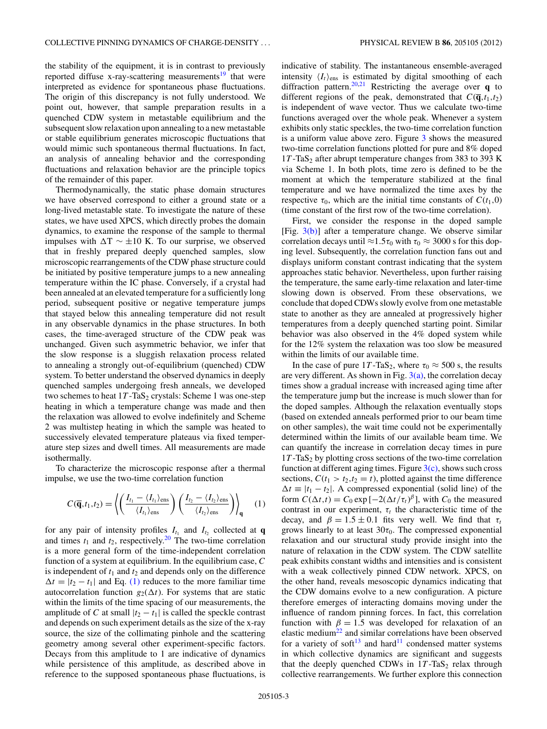the stability of the equipment, it is in contrast to previously reported diffuse x-ray-scattering measurements $19$  that were interpreted as evidence for spontaneous phase fluctuations. The origin of this discrepancy is not fully understood. We point out, however, that sample preparation results in a quenched CDW system in metastable equilibrium and the subsequent slow relaxation upon annealing to a new metastable or stable equilibrium generates microscopic fluctuations that would mimic such spontaneous thermal fluctuations. In fact, an analysis of annealing behavior and the corresponding fluctuations and relaxation behavior are the principle topics of the remainder of this paper.

Thermodynamically, the static phase domain structures we have observed correspond to either a ground state or a long-lived metastable state. To investigate the nature of these states, we have used XPCS, which directly probes the domain dynamics, to examine the response of the sample to thermal impulses with  $ΔT ~$  ±10 K. To our surprise, we observed that in freshly prepared deeply quenched samples, slow microscopic rearrangements of the CDW phase structure could be initiated by positive temperature jumps to a new annealing temperature within the IC phase. Conversely, if a crystal had been annealed at an elevated temperature for a sufficiently long period, subsequent positive or negative temperature jumps that stayed below this annealing temperature did not result in any observable dynamics in the phase structures. In both cases, the time-averaged structure of the CDW peak was unchanged. Given such asymmetric behavior, we infer that the slow response is a sluggish relaxation process related to annealing a strongly out-of-equilibrium (quenched) CDW system. To better understand the observed dynamics in deeply quenched samples undergoing fresh anneals, we developed two schemes to heat  $1T$ -TaS<sub>2</sub> crystals: Scheme 1 was one-step heating in which a temperature change was made and then the relaxation was allowed to evolve indefinitely and Scheme 2 was multistep heating in which the sample was heated to successively elevated temperature plateaus via fixed temperature step sizes and dwell times. All measurements are made isothermally.

To characterize the microscopic response after a thermal impulse, we use the two-time correlation function

$$
C(\overline{\mathbf{q}},t_1,t_2) = \left\langle \left( \frac{I_{t_1} - \langle I_{t_1} \rangle_{\text{ens}}}{\langle I_{t_1} \rangle_{\text{ens}}} \right) \left( \frac{I_{t_2} - \langle I_{t_2} \rangle_{\text{ens}}}{\langle I_{t_2} \rangle_{\text{ens}}} \right) \right\rangle_{\mathbf{q}} \qquad (1)
$$

for any pair of intensity profiles  $I_{t_1}$  and  $I_{t_2}$  collected at **q** and times  $t_1$  and  $t_2$ , respectively.<sup>[20](#page-4-0)</sup> The two-time correlation is a more general form of the time-independent correlation function of a system at equilibrium. In the equilibrium case, *C* is independent of  $t_1$  and  $t_2$  and depends only on the difference  $\Delta t = |t_2 - t_1|$  and Eq. (1) reduces to the more familiar time autocorrelation function  $g_2(\Delta t)$ . For systems that are static within the limits of the time spacing of our measurements, the amplitude of *C* at small  $|t_2 - t_1|$  is called the speckle contrast and depends on such experiment details as the size of the x-ray source, the size of the collimating pinhole and the scattering geometry among several other experiment-specific factors. Decays from this amplitude to 1 are indicative of dynamics while persistence of this amplitude, as described above in reference to the supposed spontaneous phase fluctuations, is indicative of stability. The instantaneous ensemble-averaged intensity  $\langle I_t \rangle_{\text{ens}}$  is estimated by digital smoothing of each diffraction pattern.[20,21](#page-4-0) Restricting the average over **q** to different regions of the peak, demonstrated that  $C(\overline{\mathbf{q}}, t_1, t_2)$ is independent of wave vector. Thus we calculate two-time functions averaged over the whole peak. Whenever a system exhibits only static speckles, the two-time correlation function is a uniform value above zero. Figure [3](#page-3-0) shows the measured two-time correlation functions plotted for pure and 8% doped  $17$ -TaS<sub>2</sub> after abrupt temperature changes from 383 to 393 K via Scheme 1. In both plots, time zero is defined to be the moment at which the temperature stabilized at the final temperature and we have normalized the time axes by the respective  $\tau_0$ , which are the initial time constants of  $C(t_1,0)$ (time constant of the first row of the two-time correlation).

First, we consider the response in the doped sample [Fig.  $3(b)$ ] after a temperature change. We observe similar correlation decays until  $\approx$ 1.5*τ*<sub>0</sub> with  $\tau$ <sub>0</sub>  $\approx$  3000 s for this doping level. Subsequently, the correlation function fans out and displays uniform constant contrast indicating that the system approaches static behavior. Nevertheless, upon further raising the temperature, the same early-time relaxation and later-time slowing down is observed. From these observations, we conclude that doped CDWs slowly evolve from one metastable state to another as they are annealed at progressively higher temperatures from a deeply quenched starting point. Similar behavior was also observed in the 4% doped system while for the 12% system the relaxation was too slow be measured within the limits of our available time.

In the case of pure  $1T$ -TaS<sub>2</sub>, where  $\tau_0 \approx 500$  s, the results are very different. As shown in Fig.  $3(a)$ , the correlation decay times show a gradual increase with increased aging time after the temperature jump but the increase is much slower than for the doped samples. Although the relaxation eventually stops (based on extended anneals performed prior to our beam time on other samples), the wait time could not be experimentally determined within the limits of our available beam time. We can quantify the increase in correlation decay times in pure  $17$ -TaS<sub>2</sub> by plotting cross sections of the two-time correlation function at different aging times. Figure  $3(c)$ , shows such cross sections,  $C(t_1 > t_2, t_2 = t)$ , plotted against the time difference  $\Delta t \equiv |t_1 - t_2|$ . A compressed exponential (solid line) of the form  $C(\Delta t, t) = C_0 \exp[-2(\Delta t/\tau_t)^{\beta}]$ , with  $C_0$  the measured contrast in our experiment,  $\tau_t$  the characteristic time of the decay, and  $\beta = 1.5 \pm 0.1$  fits very well. We find that  $\tau_t$ grows linearly to at least  $30\tau_0$ . The compressed exponential relaxation and our structural study provide insight into the nature of relaxation in the CDW system. The CDW satellite peak exhibits constant widths and intensities and is consistent with a weak collectively pinned CDW network. XPCS, on the other hand, reveals mesoscopic dynamics indicating that the CDW domains evolve to a new configuration. A picture therefore emerges of interacting domains moving under the influence of random pinning forces. In fact, this correlation function with  $\beta = 1.5$  was developed for relaxation of an elastic medium $^{22}$  and similar correlations have been observed for a variety of soft<sup>[13](#page-4-0)</sup> and hard<sup>11</sup> condensed matter systems in which collective dynamics are significant and suggests that the deeply quenched CDWs in  $1T$ -TaS<sub>2</sub> relax through collective rearrangements. We further explore this connection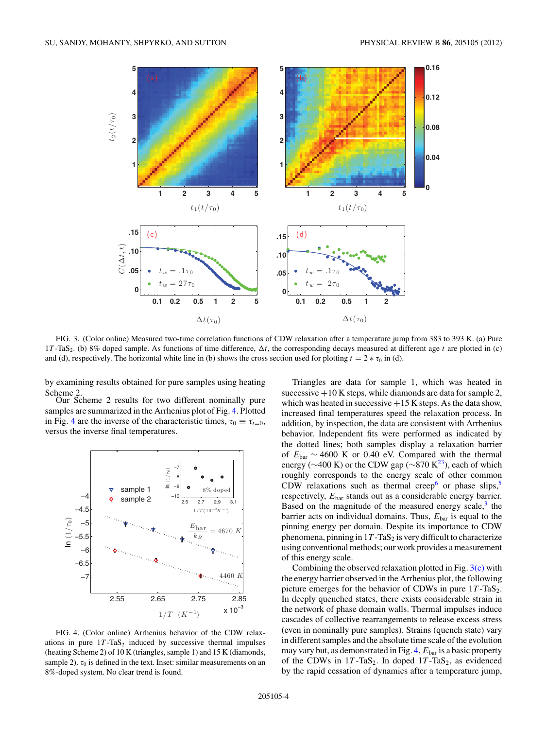<span id="page-3-0"></span>

FIG. 3. (Color online) Measured two-time correlation functions of CDW relaxation after a temperature jump from 383 to 393 K. (a) Pure 1*T* -TaS<sub>2</sub>. (b) 8% doped sample. As functions of time difference,  $\Delta t$ , the corresponding decays measured at different age *t* are plotted in (c) and (d), respectively. The horizontal white line in (b) shows the cross section used for plotting  $t = 2 * \tau_0$  in (d).

by examining results obtained for pure samples using heating Scheme 2.

Our Scheme 2 results for two different nominally pure samples are summarized in the Arrhenius plot of Fig. 4. Plotted in Fig. 4 are the inverse of the characteristic times,  $\tau_0 \equiv \tau_{t=0}$ , versus the inverse final temperatures.



FIG. 4. (Color online) Arrhenius behavior of the CDW relaxations in pure  $1T$ -TaS<sub>2</sub> induced by successive thermal impulses (heating Scheme 2) of 10 K (triangles, sample 1) and 15 K (diamonds, sample 2).  $\tau_0$  is defined in the text. Inset: similar measurements on an 8%-doped system. No clear trend is found.

Triangles are data for sample 1, which was heated in successive  $+10$  K steps, while diamonds are data for sample 2, which was heated in successive  $+15$  K steps. As the data show, increased final temperatures speed the relaxation process. In addition, by inspection, the data are consistent with Arrhenius behavior. Independent fits were performed as indicated by the dotted lines; both samples display a relaxation barrier of *E*bar ∼ 4600 K or 0.40 eV. Compared with the thermal energy ( $\sim$ 400 K) or the CDW gap ( $\sim$ 870 K<sup>23</sup>), each of which roughly corresponds to the energy scale of other common CDW relaxations such as thermal creep<sup>6</sup> or phase slips,<sup>[5](#page-4-0)</sup> respectively,  $E_{\text{bar}}$  stands out as a considerable energy barrier. Based on the magnitude of the measured energy scale, $3$  the barrier acts on individual domains. Thus,  $E_{bar}$  is equal to the pinning energy per domain. Despite its importance to CDW phenomena, pinning in  $1T$ -TaS<sub>2</sub> is very difficult to characterize using conventional methods; our work provides a measurement of this energy scale.

Combining the observed relaxation plotted in Fig.  $3(c)$  with the energy barrier observed in the Arrhenius plot, the following picture emerges for the behavior of CDWs in pure  $1T$ -TaS<sub>2</sub>. In deeply quenched states, there exists considerable strain in the network of phase domain walls. Thermal impulses induce cascades of collective rearrangements to release excess stress (even in nominally pure samples). Strains (quench state) vary in different samples and the absolute time scale of the evolution may vary but, as demonstrated in Fig. 4,  $E_{\text{bar}}$  is a basic property of the CDWs in  $1T$ -TaS<sub>2</sub>. In doped  $1T$ -TaS<sub>2</sub>, as evidenced by the rapid cessation of dynamics after a temperature jump,